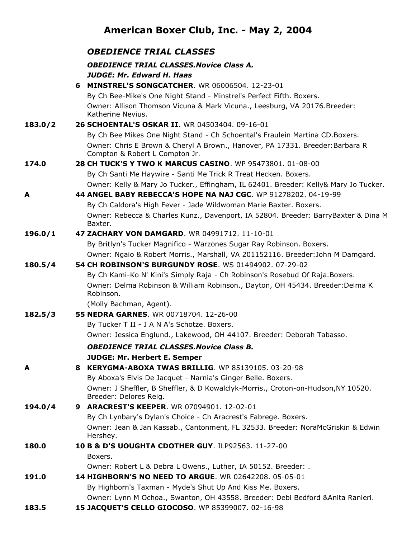## **American Boxer Club, Inc. - May 2, 2004**

|         | <b>OBEDIENCE TRIAL CLASSES</b>                                                                                  |
|---------|-----------------------------------------------------------------------------------------------------------------|
|         | <b>OBEDIENCE TRIAL CLASSES. Novice Class A.</b>                                                                 |
|         | <b>JUDGE: Mr. Edward H. Haas</b>                                                                                |
|         | 6 MINSTREL'S SONGCATCHER. WR 06006504. 12-23-01                                                                 |
|         | By Ch Bee-Mike's One Night Stand - Minstrel's Perfect Fifth. Boxers.                                            |
|         | Owner: Allison Thomson Vicuna & Mark Vicuna., Leesburg, VA 20176. Breeder:<br>Katherine Nevius.                 |
| 183.0/2 | 26 SCHOENTAL'S OSKAR II. WR 04503404. 09-16-01                                                                  |
|         | By Ch Bee Mikes One Night Stand - Ch Schoental's Fraulein Martina CD.Boxers.                                    |
|         | Owner: Chris E Brown & Cheryl A Brown., Hanover, PA 17331. Breeder: Barbara R<br>Compton & Robert L Compton Jr. |
| 174.0   | 28 CH TUCK'S Y TWO K MARCUS CASINO. WP 95473801. 01-08-00                                                       |
|         | By Ch Santi Me Haywire - Santi Me Trick R Treat Hecken. Boxers.                                                 |
|         | Owner: Kelly & Mary Jo Tucker., Effingham, IL 62401. Breeder: Kelly& Mary Jo Tucker.                            |
| A       | 44 ANGEL BABY REBECCA'S HOPE NA NAJ CGC. WP 91278202. 04-19-99                                                  |
|         | By Ch Caldora's High Fever - Jade Wildwoman Marie Baxter. Boxers.                                               |
|         | Owner: Rebecca & Charles Kunz., Davenport, IA 52804. Breeder: BarryBaxter & Dina M<br>Baxter.                   |
| 196.0/1 | 47 ZACHARY VON DAMGARD. WR 04991712, 11-10-01                                                                   |
|         | By Britlyn's Tucker Magnifico - Warzones Sugar Ray Robinson. Boxers.                                            |
|         | Owner: Ngaio & Robert Morris., Marshall, VA 201152116. Breeder: John M Damgard.                                 |
| 180.5/4 | <b>54 CH ROBINSON'S BURGUNDY ROSE.</b> WS 01494902, 07-29-02                                                    |
|         | By Ch Kami-Ko N' Kini's Simply Raja - Ch Robinson's Rosebud Of Raja. Boxers.                                    |
|         | Owner: Delma Robinson & William Robinson., Dayton, OH 45434. Breeder: Delma K<br>Robinson.                      |
|         | (Molly Bachman, Agent).                                                                                         |
| 182.5/3 | 55 NEDRA GARNES, WR 00718704, 12-26-00                                                                          |
|         | By Tucker T II - J A N A's Schotze. Boxers.                                                                     |
|         | Owner: Jessica Englund., Lakewood, OH 44107. Breeder: Deborah Tabasso.                                          |
|         | <b>OBEDIENCE TRIAL CLASSES. Novice Class B.</b>                                                                 |
|         | <b>JUDGE: Mr. Herbert E. Semper</b>                                                                             |
| A       | 8 KERYGMA-ABOXA TWAS BRILLIG. WP 85139105. 03-20-98                                                             |
|         | By Aboxa's Elvis De Jacquet - Narnia's Ginger Belle. Boxers.                                                    |
|         | Owner: J Sheffler, B Sheffler, & D Kowalclyk-Morris., Croton-on-Hudson, NY 10520.<br>Breeder: Delores Reig.     |
| 194.0/4 | 9 ARACREST'S KEEPER. WR 07094901. 12-02-01                                                                      |
|         | By Ch Lynbary's Dylan's Choice - Ch Aracrest's Fabrege. Boxers.                                                 |
|         | Owner: Jean & Jan Kassab., Cantonment, FL 32533. Breeder: NoraMcGriskin & Edwin                                 |
|         | Hershey.                                                                                                        |
| 180.0   | 10 B & D'S UOUGHTA CDOTHER GUY. ILP92563. 11-27-00                                                              |
|         | Boxers.                                                                                                         |
|         | Owner: Robert L & Debra L Owens., Luther, IA 50152. Breeder: .                                                  |
| 191.0   | 14 HIGHBORN'S NO NEED TO ARGUE. WR 02642208. 05-05-01                                                           |
|         | By Highborn's Taxman - Myde's Shut Up And Kiss Me. Boxers.                                                      |
|         | Owner: Lynn M Ochoa., Swanton, OH 43558. Breeder: Debi Bedford & Anita Ranieri.                                 |
| 183.5   | 15 JACQUET'S CELLO GIOCOSO. WP 85399007. 02-16-98                                                               |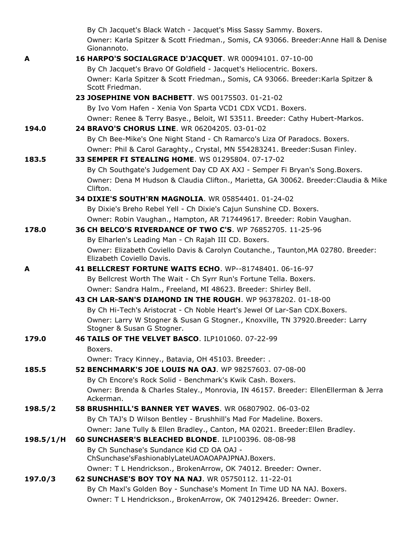|           | By Ch Jacquet's Black Watch - Jacquet's Miss Sassy Sammy. Boxers.                                              |
|-----------|----------------------------------------------------------------------------------------------------------------|
|           | Owner: Karla Spitzer & Scott Friedman., Somis, CA 93066. Breeder: Anne Hall & Denise<br>Gionannoto.            |
| A         | 16 HARPO'S SOCIALGRACE D'JACQUET. WR 00094101. 07-10-00                                                        |
|           | By Ch Jacquet's Bravo Of Goldfield - Jacquet's Heliocentric. Boxers.                                           |
|           | Owner: Karla Spitzer & Scott Friedman., Somis, CA 93066. Breeder: Karla Spitzer &<br>Scott Friedman.           |
|           | 23 JOSEPHINE VON BACHBETT. WS 00175503. 01-21-02                                                               |
|           | By Ivo Vom Hafen - Xenia Von Sparta VCD1 CDX VCD1. Boxers.                                                     |
|           | Owner: Renee & Terry Basye., Beloit, WI 53511. Breeder: Cathy Hubert-Markos.                                   |
| 194.0     | 24 BRAVO'S CHORUS LINE. WR 06204205. 03-01-02                                                                  |
|           | By Ch Bee-Mike's One Night Stand - Ch Ramarco's Liza Of Paradocs. Boxers.                                      |
|           | Owner: Phil & Carol Garaghty., Crystal, MN 554283241. Breeder: Susan Finley.                                   |
| 183.5     | 33 SEMPER FI STEALING HOME. WS 01295804. 07-17-02                                                              |
|           | By Ch Southgate's Judgement Day CD AX AXJ - Semper Fi Bryan's Song. Boxers.                                    |
|           | Owner: Dena M Hudson & Claudia Clifton., Marietta, GA 30062. Breeder: Claudia & Mike<br>Clifton.               |
|           | 34 DIXIE'S SOUTH'RN MAGNOLIA. WR 05854401. 01-24-02                                                            |
|           | By Dixie's Breho Rebel Yell - Ch Dixie's Cajun Sunshine CD. Boxers.                                            |
|           | Owner: Robin Vaughan., Hampton, AR 717449617. Breeder: Robin Vaughan.                                          |
| 178.0     | 36 CH BELCO'S RIVERDANCE OF TWO C'S. WP 76852705, 11-25-96                                                     |
|           | By Elharlen's Leading Man - Ch Rajah III CD. Boxers.                                                           |
|           | Owner: Elizabeth Coviello Davis & Carolyn Coutanche., Taunton, MA 02780. Breeder:<br>Elizabeth Coviello Davis. |
| A         | 41 BELLCREST FORTUNE WAITS ECHO. WP--81748401. 06-16-97                                                        |
|           | By Bellcrest Worth The Wait - Ch Syrr Run's Fortune Tella. Boxers.                                             |
|           | Owner: Sandra Halm., Freeland, MI 48623. Breeder: Shirley Bell.                                                |
|           | 43 CH LAR-SAN'S DIAMOND IN THE ROUGH. WP 96378202, 01-18-00                                                    |
|           | By Ch Hi-Tech's Aristocrat - Ch Noble Heart's Jewel Of Lar-San CDX. Boxers.                                    |
|           | Owner: Larry W Stogner & Susan G Stogner., Knoxville, TN 37920.Breeder: Larry<br>Stogner & Susan G Stogner.    |
| 179.0     | 46 TAILS OF THE VELVET BASCO. ILP101060. 07-22-99                                                              |
|           | Boxers.                                                                                                        |
|           | Owner: Tracy Kinney., Batavia, OH 45103. Breeder: .                                                            |
| 185.5     | 52 BENCHMARK'S JOE LOUIS NA OAJ. WP 98257603. 07-08-00                                                         |
|           | By Ch Encore's Rock Solid - Benchmark's Kwik Cash. Boxers.                                                     |
|           | Owner: Brenda & Charles Staley., Monrovia, IN 46157. Breeder: EllenEllerman & Jerra<br>Ackerman.               |
| 198.5/2   | <b>58 BRUSHHILL'S BANNER YET WAVES. WR 06807902. 06-03-02</b>                                                  |
|           | By Ch TAJ's D Wilson Bentley - Brushhill's Mad For Madeline. Boxers.                                           |
|           | Owner: Jane Tully & Ellen Bradley., Canton, MA 02021. Breeder: Ellen Bradley.                                  |
| 198.5/1/H | 60 SUNCHASER'S BLEACHED BLONDE. ILP100396. 08-08-98                                                            |
|           | By Ch Sunchase's Sundance Kid CD OA OAJ -<br>ChSunchase'sFashionablyLateUAOAOAPAJPNAJ.Boxers.                  |
|           | Owner: T L Hendrickson., BrokenArrow, OK 74012. Breeder: Owner.                                                |
| 197.0/3   | 62 SUNCHASE'S BOY TOY NA NAJ. WR 05750112. 11-22-01                                                            |
|           | By Ch Maxl's Golden Boy - Sunchase's Moment In Time UD NA NAJ. Boxers.                                         |
|           | Owner: T L Hendrickson., BrokenArrow, OK 740129426. Breeder: Owner.                                            |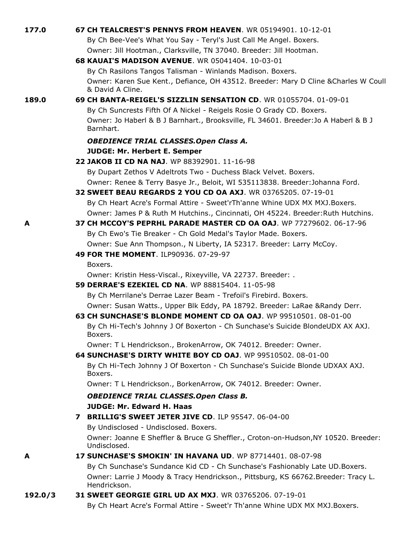| 177.0   | 67 CH TEALCREST'S PENNYS FROM HEAVEN. WR 05194901. 10-12-01                                                                                   |
|---------|-----------------------------------------------------------------------------------------------------------------------------------------------|
|         | By Ch Bee-Vee's What You Say - Teryl's Just Call Me Angel. Boxers.                                                                            |
|         | Owner: Jill Hootman., Clarksville, TN 37040. Breeder: Jill Hootman.                                                                           |
|         | 68 KAUAI'S MADISON AVENUE. WR 05041404. 10-03-01                                                                                              |
|         | By Ch Rasilons Tangos Talisman - Winlands Madison. Boxers.                                                                                    |
|         | Owner: Karen Sue Kent., Defiance, OH 43512. Breeder: Mary D Cline & Charles W Coull<br>& David A Cline.                                       |
| 189.0   | 69 CH BANTA-REIGEL'S SIZZLIN SENSATION CD. WR 01055704, 01-09-01                                                                              |
|         | By Ch Suncrests Fifth Of A Nickel - Reigels Rosie O Grady CD. Boxers.                                                                         |
|         | Owner: Jo Haberl & B J Barnhart., Brooksville, FL 34601. Breeder: Jo A Haberl & B J<br>Barnhart.                                              |
|         | <b>OBEDIENCE TRIAL CLASSES.Open Class A.</b>                                                                                                  |
|         | <b>JUDGE: Mr. Herbert E. Semper</b>                                                                                                           |
|         | 22 JAKOB II CD NA NAJ. WP 88392901. 11-16-98                                                                                                  |
|         | By Dupart Zethos V Adeltrots Two - Duchess Black Velvet. Boxers.                                                                              |
|         | Owner: Renee & Terry Basye Jr., Beloit, WI 535113838. Breeder: Johanna Ford.                                                                  |
|         | 32 SWEET BEAU REGARDS 2 YOU CD OA AXJ. WR 03765205, 07-19-01                                                                                  |
|         | By Ch Heart Acre's Formal Attire - Sweet'rTh'anne Whine UDX MX MXJ.Boxers.                                                                    |
|         | Owner: James P & Ruth M Hutchins., Cincinnati, OH 45224. Breeder: Ruth Hutchins.                                                              |
| A       | 37 CH MCCOY'S PEPRHL PARADE MASTER CD OA OAJ. WP 77279602. 06-17-96                                                                           |
|         | By Ch Ewo's Tie Breaker - Ch Gold Medal's Taylor Made. Boxers.                                                                                |
|         | Owner: Sue Ann Thompson., N Liberty, IA 52317. Breeder: Larry McCoy.                                                                          |
|         | 49 FOR THE MOMENT. ILP90936. 07-29-97                                                                                                         |
|         | Boxers.                                                                                                                                       |
|         | Owner: Kristin Hess-Viscal., Rixeyville, VA 22737. Breeder: .                                                                                 |
|         | 59 DERRAE'S EZEKIEL CD NA. WP 88815404. 11-05-98                                                                                              |
|         | By Ch Merrilane's Derrae Lazer Beam - Trefoil's Firebird. Boxers.                                                                             |
|         | Owner: Susan Watts., Upper Blk Eddy, PA 18792. Breeder: LaRae &Randy Derr.<br>63 CH SUNCHASE'S BLONDE MOMENT CD OA OAJ. WP 99510501, 08-01-00 |
|         | By Ch Hi-Tech's Johnny J Of Boxerton - Ch Sunchase's Suicide BlondeUDX AX AXJ.<br>Boxers.                                                     |
|         | Owner: T L Hendrickson., BrokenArrow, OK 74012. Breeder: Owner.                                                                               |
|         | 64 SUNCHASE'S DIRTY WHITE BOY CD OAJ. WP 99510502. 08-01-00                                                                                   |
|         | By Ch Hi-Tech Johnny J Of Boxerton - Ch Sunchase's Suicide Blonde UDXAX AXJ.<br>Boxers.                                                       |
|         | Owner: T L Hendrickson., BorkenArrow, OK 74012. Breeder: Owner.                                                                               |
|         | <b>OBEDIENCE TRIAL CLASSES.Open Class B.</b>                                                                                                  |
|         | <b>JUDGE: Mr. Edward H. Haas</b>                                                                                                              |
|         | 7 BRILLIG'S SWEET JETER JIVE CD. ILP 95547. 06-04-00                                                                                          |
|         | By Undisclosed - Undisclosed. Boxers.                                                                                                         |
|         | Owner: Joanne E Sheffler & Bruce G Sheffler., Croton-on-Hudson, NY 10520. Breeder:<br>Undisclosed.                                            |
| A       | 17 SUNCHASE'S SMOKIN' IN HAVANA UD. WP 87714401, 08-07-98                                                                                     |
|         | By Ch Sunchase's Sundance Kid CD - Ch Sunchase's Fashionably Late UD. Boxers.                                                                 |
|         | Owner: Larrie J Moody & Tracy Hendrickson., Pittsburg, KS 66762.Breeder: Tracy L.<br>Hendrickson.                                             |
| 192.0/3 | 31 SWEET GEORGIE GIRL UD AX MXJ. WR 03765206. 07-19-01                                                                                        |
|         | By Ch Heart Acre's Formal Attire - Sweet'r Th'anne Whine UDX MX MXJ.Boxers.                                                                   |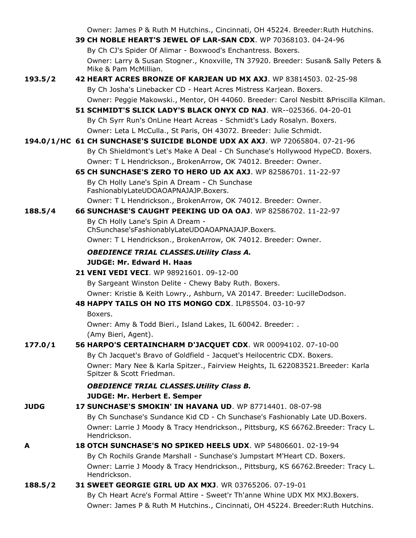|             | Owner: James P & Ruth M Hutchins., Cincinnati, OH 45224. Breeder: Ruth Hutchins.                                                                            |
|-------------|-------------------------------------------------------------------------------------------------------------------------------------------------------------|
|             | 39 CH NOBLE HEART'S JEWEL OF LAR-SAN CDX. WP 70368103. 04-24-96                                                                                             |
|             | By Ch CJ's Spider Of Alimar - Boxwood's Enchantress. Boxers.                                                                                                |
|             | Owner: Larry & Susan Stogner., Knoxville, TN 37920. Breeder: Susan& Sally Peters &<br>Mike & Pam McMillian.                                                 |
| 193.5/2     | 42 HEART ACRES BRONZE OF KARJEAN UD MX AXJ. WP 83814503, 02-25-98                                                                                           |
|             | By Ch Josha's Linebacker CD - Heart Acres Mistress Karjean. Boxers.                                                                                         |
|             | Owner: Peggie Makowski., Mentor, OH 44060. Breeder: Carol Nesbitt & Priscilla Kilman.                                                                       |
|             | 51 SCHMIDT'S SLICK LADY'S BLACK ONYX CD NAJ. WR--025366. 04-20-01                                                                                           |
|             | By Ch Syrr Run's OnLine Heart Acreas - Schmidt's Lady Rosalyn. Boxers.                                                                                      |
|             | Owner: Leta L McCulla., St Paris, OH 43072. Breeder: Julie Schmidt.                                                                                         |
|             | 194.0/1/HC 61 CH SUNCHASE'S SUICIDE BLONDE UDX AX AXJ. WP 72065804. 07-21-96                                                                                |
|             | By Ch Shieldmont's Let's Make A Deal - Ch Sunchase's Hollywood HypeCD. Boxers.                                                                              |
|             | Owner: T L Hendrickson., BrokenArrow, OK 74012. Breeder: Owner.                                                                                             |
|             | <b>65 CH SUNCHASE'S ZERO TO HERO UD AX AXJ.</b> WP 82586701, 11-22-97                                                                                       |
|             | By Ch Holly Lane's Spin A Dream - Ch Sunchase                                                                                                               |
|             | FashionablyLateUDOAOAPNAJAJP.Boxers.                                                                                                                        |
|             | Owner: T L Hendrickson., BrokenArrow, OK 74012. Breeder: Owner.                                                                                             |
| 188.5/4     | <b>66 SUNCHASE'S CAUGHT PEEKING UD OA OAJ. WP 82586702. 11-22-97</b>                                                                                        |
|             | By Ch Holly Lane's Spin A Dream -                                                                                                                           |
|             | ChSunchase'sFashionablyLateUDOAOAPNAJAJP.Boxers.                                                                                                            |
|             | Owner: T L Hendrickson., BrokenArrow, OK 74012. Breeder: Owner.                                                                                             |
|             | <b>OBEDIENCE TRIAL CLASSES. Utility Class A.</b>                                                                                                            |
|             | <b>JUDGE: Mr. Edward H. Haas</b>                                                                                                                            |
|             | <b>21 VENI VEDI VECI.</b> WP 98921601, 09-12-00                                                                                                             |
|             | By Sargeant Winston Delite - Chewy Baby Ruth. Boxers.                                                                                                       |
|             | Owner: Kristie & Keith Lowry., Ashburn, VA 20147. Breeder: LucilleDodson.                                                                                   |
|             | 48 HAPPY TAILS OH NO ITS MONGO CDX. ILP85504. 03-10-97                                                                                                      |
|             | Boxers.                                                                                                                                                     |
|             | Owner: Amy & Todd Bieri., Island Lakes, IL 60042. Breeder: .                                                                                                |
|             | (Amy Bieri, Agent).                                                                                                                                         |
| 177.0/1     | 56 HARPO'S CERTAINCHARM D'JACQUET CDX. WR 00094102. 07-10-00                                                                                                |
|             | By Ch Jacquet's Bravo of Goldfield - Jacquet's Heilocentric CDX. Boxers.<br>Owner: Mary Nee & Karla Spitzer., Fairview Heights, IL 622083521.Breeder: Karla |
|             | Spitzer & Scott Friedman.                                                                                                                                   |
|             | <b>OBEDIENCE TRIAL CLASSES. Utility Class B.</b>                                                                                                            |
|             | <b>JUDGE: Mr. Herbert E. Semper</b>                                                                                                                         |
| <b>JUDG</b> | 17 SUNCHASE'S SMOKIN' IN HAVANA UD. WP 87714401. 08-07-98                                                                                                   |
|             | By Ch Sunchase's Sundance Kid CD - Ch Sunchase's Fashionably Late UD. Boxers.                                                                               |
|             | Owner: Larrie J Moody & Tracy Hendrickson., Pittsburg, KS 66762.Breeder: Tracy L.<br>Hendrickson.                                                           |
| A           | 18 OTCH SUNCHASE'S NO SPIKED HEELS UDX. WP 54806601, 02-19-94                                                                                               |
|             | By Ch Rochils Grande Marshall - Sunchase's Jumpstart M'Heart CD. Boxers.                                                                                    |
|             | Owner: Larrie J Moody & Tracy Hendrickson., Pittsburg, KS 66762.Breeder: Tracy L.                                                                           |
|             | Hendrickson.                                                                                                                                                |
| 188.5/2     | 31 SWEET GEORGIE GIRL UD AX MXJ. WR 03765206. 07-19-01                                                                                                      |
|             | By Ch Heart Acre's Formal Attire - Sweet'r Th'anne Whine UDX MX MXJ.Boxers.                                                                                 |
|             | Owner: James P & Ruth M Hutchins., Cincinnati, OH 45224. Breeder: Ruth Hutchins.                                                                            |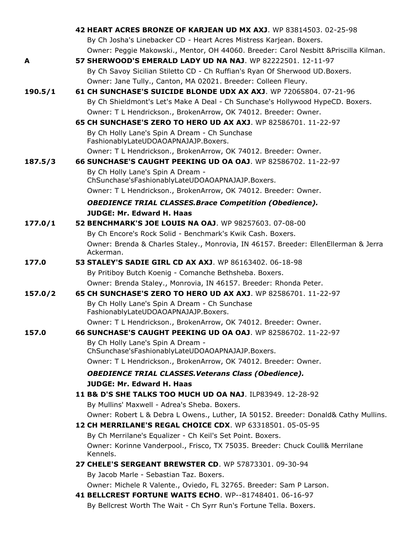|         | 42 HEART ACRES BRONZE OF KARJEAN UD MX AXJ. WP 83814503. 02-25-98                         |
|---------|-------------------------------------------------------------------------------------------|
|         | By Ch Josha's Linebacker CD - Heart Acres Mistress Karjean. Boxers.                       |
|         | Owner: Peggie Makowski., Mentor, OH 44060. Breeder: Carol Nesbitt & Priscilla Kilman.     |
| A       | 57 SHERWOOD'S EMERALD LADY UD NA NAJ. WP 82222501. 12-11-97                               |
|         | By Ch Savoy Sicilian Stiletto CD - Ch Ruffian's Ryan Of Sherwood UD. Boxers.              |
|         | Owner: Jane Tully., Canton, MA 02021. Breeder: Colleen Fleury.                            |
| 190.5/1 | 61 CH SUNCHASE'S SUICIDE BLONDE UDX AX AXJ. WP 72065804. 07-21-96                         |
|         | By Ch Shieldmont's Let's Make A Deal - Ch Sunchase's Hollywood HypeCD. Boxers.            |
|         | Owner: T L Hendrickson., BrokenArrow, OK 74012. Breeder: Owner.                           |
|         | 65 CH SUNCHASE'S ZERO TO HERO UD AX AXJ. WP 82586701. 11-22-97                            |
|         | By Ch Holly Lane's Spin A Dream - Ch Sunchase<br>FashionablyLateUDOAOAPNAJAJP.Boxers.     |
|         | Owner: T L Hendrickson., BrokenArrow, OK 74012. Breeder: Owner.                           |
| 187.5/3 | 66 SUNCHASE'S CAUGHT PEEKING UD OA OAJ. WP 82586702. 11-22-97                             |
|         | By Ch Holly Lane's Spin A Dream -<br>ChSunchase'sFashionablyLateUDOAOAPNAJAJP.Boxers.     |
|         | Owner: T L Hendrickson., BrokenArrow, OK 74012. Breeder: Owner.                           |
|         | <b>OBEDIENCE TRIAL CLASSES. Brace Competition (Obedience).</b>                            |
|         | <b>JUDGE: Mr. Edward H. Haas</b>                                                          |
| 177.0/1 | 52 BENCHMARK'S JOE LOUIS NA OAJ. WP 98257603. 07-08-00                                    |
|         | By Ch Encore's Rock Solid - Benchmark's Kwik Cash. Boxers.                                |
|         | Owner: Brenda & Charles Staley., Monrovia, IN 46157. Breeder: EllenEllerman & Jerra       |
|         | Ackerman.                                                                                 |
| 177.0   | 53 STALEY'S SADIE GIRL CD AX AXJ. WP 86163402. 06-18-98                                   |
|         | By Pritiboy Butch Koenig - Comanche Bethsheba. Boxers.                                    |
|         | Owner: Brenda Staley., Monrovia, IN 46157. Breeder: Rhonda Peter.                         |
| 157.0/2 | <b>65 CH SUNCHASE'S ZERO TO HERO UD AX AXJ.</b> WP 82586701, 11-22-97                     |
|         | By Ch Holly Lane's Spin A Dream - Ch Sunchase<br>FashionablyLateUDOAOAPNAJAJP.Boxers.     |
|         | Owner: T L Hendrickson., BrokenArrow, OK 74012. Breeder: Owner.                           |
| 157.0   | 66 SUNCHASE'S CAUGHT PEEKING UD OA OAJ. WP 82586702. 11-22-97                             |
|         | By Ch Holly Lane's Spin A Dream -                                                         |
|         | ChSunchase'sFashionablyLateUDOAOAPNAJAJP.Boxers.                                          |
|         | Owner: T L Hendrickson., BrokenArrow, OK 74012. Breeder: Owner.                           |
|         | <b>OBEDIENCE TRIAL CLASSES. Veterans Class (Obedience).</b>                               |
|         | JUDGE: Mr. Edward H. Haas                                                                 |
|         | 11 B& D'S SHE TALKS TOO MUCH UD OA NAJ. ILP83949. 12-28-92                                |
|         | By Mullins' Maxwell - Adrea's Sheba. Boxers.                                              |
|         | Owner: Robert L & Debra L Owens., Luther, IA 50152. Breeder: Donald& Cathy Mullins.       |
|         | 12 CH MERRILANE'S REGAL CHOICE CDX. WP 63318501. 05-05-95                                 |
|         | By Ch Merrilane's Equalizer - Ch Keil's Set Point. Boxers.                                |
|         | Owner: Korinne Vanderpool., Frisco, TX 75035. Breeder: Chuck Coull& Merrilane<br>Kennels. |
|         | 27 CHELE'S SERGEANT BREWSTER CD. WP 57873301. 09-30-94                                    |
|         | By Jacob Marle - Sebastian Taz. Boxers.                                                   |
|         | Owner: Michele R Valente., Oviedo, FL 32765. Breeder: Sam P Larson.                       |
|         | 41 BELLCREST FORTUNE WAITS ECHO. WP--81748401. 06-16-97                                   |
|         | By Bellcrest Worth The Wait - Ch Syrr Run's Fortune Tella. Boxers.                        |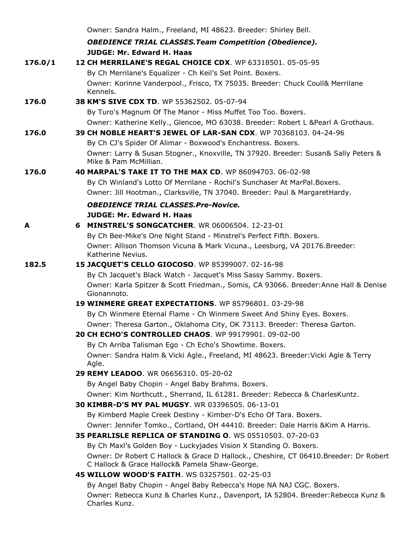|         | Owner: Sandra Halm., Freeland, MI 48623. Breeder: Shirley Bell.                                                                                           |
|---------|-----------------------------------------------------------------------------------------------------------------------------------------------------------|
|         | <b>OBEDIENCE TRIAL CLASSES. Team Competition (Obedience).</b>                                                                                             |
|         | <b>JUDGE: Mr. Edward H. Haas</b>                                                                                                                          |
| 176.0/1 | 12 CH MERRILANE'S REGAL CHOICE CDX. WP 63318501. 05-05-95                                                                                                 |
|         | By Ch Merrilane's Equalizer - Ch Keil's Set Point. Boxers.                                                                                                |
|         | Owner: Korinne Vanderpool., Frisco, TX 75035. Breeder: Chuck Coull& Merrilane<br>Kennels.                                                                 |
| 176.0   | 38 KM'S SIVE CDX TD. WP 55362502. 05-07-94                                                                                                                |
|         | By Turo's Magnum Of The Manor - Miss Muffet Too Too. Boxers.                                                                                              |
|         | Owner: Katherine Kelly., Glencoe, MO 63038. Breeder: Robert L & Pearl A Grothaus.                                                                         |
| 176.0   | 39 CH NOBLE HEART'S JEWEL OF LAR-SAN CDX, WP 70368103, 04-24-96                                                                                           |
|         | By Ch CJ's Spider Of Alimar - Boxwood's Enchantress. Boxers.                                                                                              |
|         | Owner: Larry & Susan Stogner., Knoxville, TN 37920. Breeder: Susan& Sally Peters &<br>Mike & Pam McMillian.                                               |
| 176.0   | 40 MARPAL'S TAKE IT TO THE MAX CD. WP 86094703. 06-02-98                                                                                                  |
|         | By Ch Winland's Lotto Of Merrilane - Rochil's Sunchaser At MarPal.Boxers.                                                                                 |
|         | Owner: Jill Hootman., Clarksville, TN 37040. Breeder: Paul & MargaretHardy.                                                                               |
|         | <b>OBEDIENCE TRIAL CLASSES.Pre-Novice.</b>                                                                                                                |
|         | <b>JUDGE: Mr. Edward H. Haas</b>                                                                                                                          |
| A       | 6 MINSTREL'S SONGCATCHER. WR 06006504, 12-23-01                                                                                                           |
|         | By Ch Bee-Mike's One Night Stand - Minstrel's Perfect Fifth. Boxers.                                                                                      |
|         | Owner: Allison Thomson Vicuna & Mark Vicuna., Leesburg, VA 20176. Breeder:<br>Katherine Nevius.                                                           |
| 182.5   | 15 JACQUET'S CELLO GIOCOSO. WP 85399007. 02-16-98                                                                                                         |
|         | By Ch Jacquet's Black Watch - Jacquet's Miss Sassy Sammy. Boxers.                                                                                         |
|         | Owner: Karla Spitzer & Scott Friedman., Somis, CA 93066. Breeder: Anne Hall & Denise<br>Gionannoto.                                                       |
|         | 19 WINMERE GREAT EXPECTATIONS. WP 85796801. 03-29-98                                                                                                      |
|         | By Ch Winmere Eternal Flame - Ch Winmere Sweet And Shiny Eyes. Boxers.                                                                                    |
|         | Owner: Theresa Garton., Oklahoma City, OK 73113. Breeder: Theresa Garton.                                                                                 |
|         | 20 CH ECHO'S CONTROLLED CHAOS. WP 99179901. 09-02-00                                                                                                      |
|         | By Ch Arriba Talisman Ego - Ch Echo's Showtime. Boxers.                                                                                                   |
|         | Owner: Sandra Halm & Vicki Agle., Freeland, MI 48623. Breeder: Vicki Agle & Terry<br>Agle.                                                                |
|         | 29 REMY LEADOO. WR 06656310. 05-20-02                                                                                                                     |
|         | By Angel Baby Chopin - Angel Baby Brahms. Boxers.                                                                                                         |
|         | Owner: Kim Northcutt., Sherrand, IL 61281. Breeder: Rebecca & CharlesKuntz.                                                                               |
|         | 30 KIMBR-D'S MY PAL MUGSY, WR 03396505, 06-13-01                                                                                                          |
|         | By Kimberd Maple Creek Destiny - Kimber-D's Echo Of Tara. Boxers.                                                                                         |
|         | Owner: Jennifer Tomko., Cortland, OH 44410. Breeder: Dale Harris & Kim A Harris.                                                                          |
|         | 35 PEARLISLE REPLICA OF STANDING O. WS 05510503, 07-20-03                                                                                                 |
|         | By Ch Maxl's Golden Boy - Luckyjades Vision X Standing O. Boxers.<br>Owner: Dr Robert C Hallock & Grace D Hallock., Cheshire, CT 06410.Breeder: Dr Robert |
|         | C Hallock & Grace Hallock& Pamela Shaw-George.                                                                                                            |
|         | 45 WILLOW WOOD'S FAITH. WS 03257501. 02-25-03                                                                                                             |
|         | By Angel Baby Chopin - Angel Baby Rebecca's Hope NA NAJ CGC. Boxers.                                                                                      |
|         | Owner: Rebecca Kunz & Charles Kunz., Davenport, IA 52804. Breeder: Rebecca Kunz &<br>Charles Kunz.                                                        |
|         |                                                                                                                                                           |